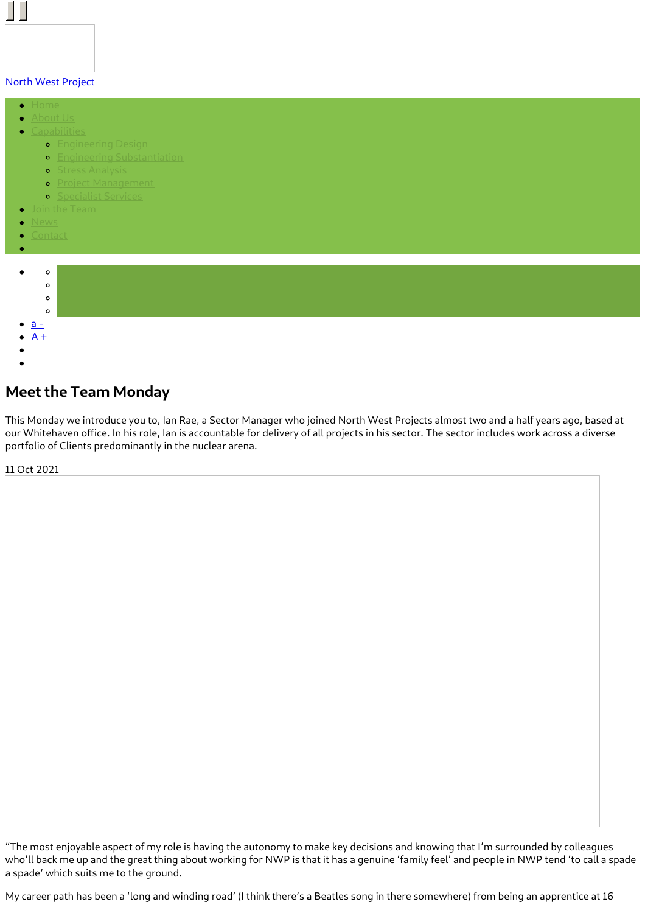### North West [Project](https://www.northwestprojects.co.uk/)

- $\bullet$
- 
- - **o** [Engineering](https://www.northwestprojects.co.uk/capabilities/engineering-design/) Design
		- **•** Engineering [Substantiation](https://www.northwestprojects.co.uk/capabilities/engineering-substantiation/)
		- **o** Stress [Analysis](https://www.northwestprojects.co.uk/capabilities/stress-analysis/)
		- **o** Project [Management](https://www.northwestprojects.co.uk/capabilities/project-management/)
		- **o** [Specialist](https://www.northwestprojects.co.uk/capabilities/specialist-services/) Services
	-
- 
- 



# **Meet the Team Monday**

This Monday we introduce you to, Ian Rae, a Sector Manager who joined North West Projects almost two and a half years ago, based at our Whitehaven office. In his role, Ian is accountable for delivery of all projects in his sector. The sector includes work across a diverse portfolio of Clients predominantly in the nuclear arena.

11 Oct 2021

"The most enjoyable aspect of my role is having the autonomy to make key decisions and knowing that I'm surrounded by colleagues who'll back me up and the great thing about working for NWP is that it has a genuine 'family feel' and people in NWP tend 'to call a spade a spade' which suits me to the ground.

My career path has been a 'long and winding road' (I think there's a Beatles song in there somewhere) from being an apprentice at 16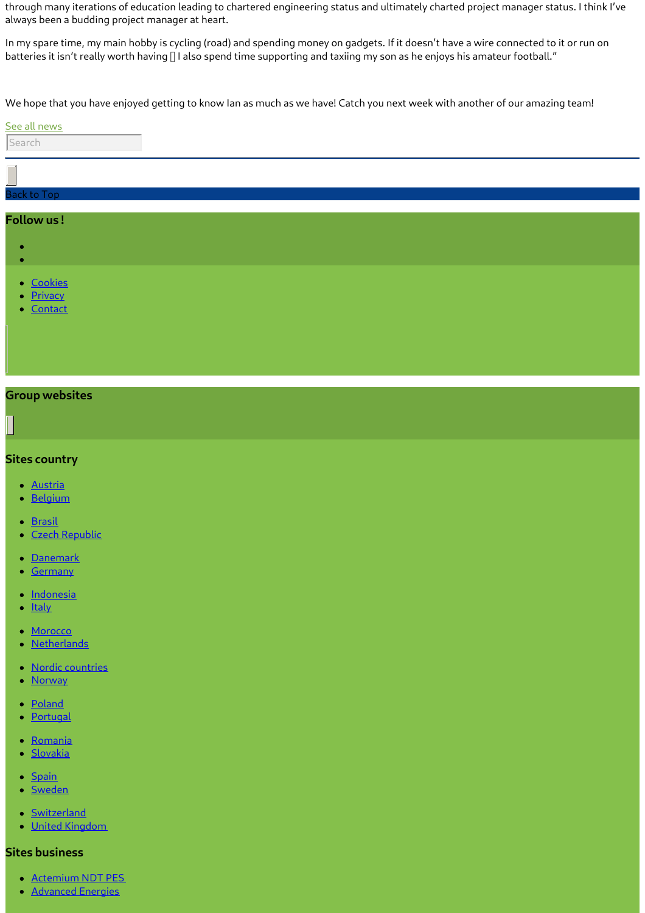through many iterations of education leading to chartered engineering status and ultimately charted project manager status. I think I've always been a budding project manager at heart.

In my spare time, my main hobby is cycling (road) and spending money on gadgets. If it doesn't have a wire connected to it or run on batteries it isn't really worth having  $\Box$  I also spend time supporting and taxiing my son as he enjoys his amateur football."

We hope that you have enjoyed getting to know Ian as much as we have! Catch you next week with another of our amazing team!

#### See all [news](https://www.northwestprojects.co.uk/news/)



• [Contact](https://www.northwestprojects.co.uk/contact/)

# **Group websites**

### **Sites country**

- [Austria](http://www.vinci-energies.at/)
- **[Belgium](http://www.vinci-energies.be/)**
- **[Brasil](http://www.vinci-energies.com.br/en/home/)**
- Czech [Republic](http://www.vinci-energies.cz/)
- [Danemark](http://www.vinci-energies.dk/)
- **[Germany](http://www.vinci-energies.de/)**
- <u>• [Indonesia](http://www.vinci-energies.co.id/)</u>
- <u>[Italy](http://www.vinci-energies.it/)</u>  $\bullet$
- [Morocco](http://www.vinci-energies.ma/)
- **[Netherlands](http://www.vinci-energies.nl/)**
- Nordic [countries](http://www.vinci-energies.dk/)
- **[Norway](http://www.vinci-energies.no/)**
- [Poland](http://www.vinci-energies.pl)
- **[Portugal](http://www.vinci-energies.pt/)**
- **[Romania](http://www.vinci-energies.ro/)**
- **[Slovakia](http://www.vinci-energies.sk/)**
- [Spain](http://www.vinci-energies.es/)
- **[Sweden](http://www.vinci-energies.se/)**
- [Switzerland](http://www.vinci-energies.ch/)
- United [Kingdom](http://www.vinci-energies.co.uk/)

# **Sites business**

- **[Actemium](https://www.cegelec-ndt-pes.com) NDT PES**
- **[Advanced](http://www.advanced-energies.com/) Energies**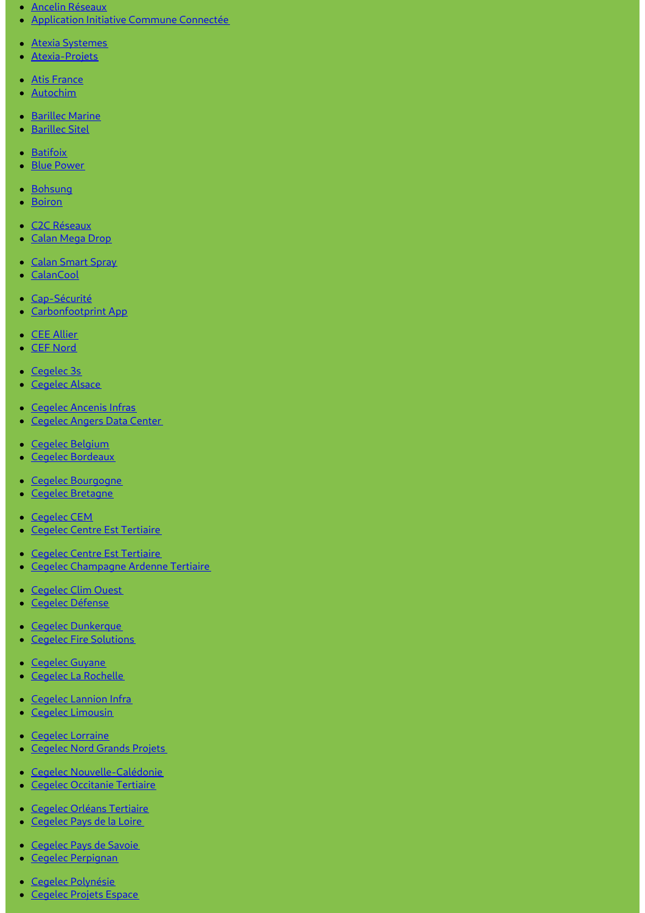- Ancelin [Réseaux](http://www.ancelinreseaux.fr/)
- [Application](https://www.applications-icc.fr) Initiative Commune Connectée
- Atexia [Systemes](https://www.atexia-systemes.fr/)
- [Atexia-Projets](https://www.atexia-projets.fr/)
- Atis [France](https://www.atis-france.fr)
- [Autochim](http://www.autochim.com/fr/)
- [Barillec](http://www.barillec-marine.com/) Marine
- **[Barillec](http://www.barillec-sitel.fr) Sitel**
- [Batifoix](https://www.batifoix.fr)
- Blue [Power](https://www.blue-power.it/)
- [Bohsung](https://www.bohsung.de/)
- [Boiron](https://www.sas-boiron.com)
- C<sub>2</sub>C [Réseaux](https://www.c2c-reseaux.fr)
- [Calan](https://www.calanmegadrop.de/) Mega Drop
- Calan [Smart](https://www.calansmartspray.de/) Spray
- [CalanCool](https://www.calancool.de/)
- [Cap-Sécurité](https://www.capsecurite.com/)
- [Carbonfootprint](https://www.carbonfootprintapp.de/) App
- CEE [Allier](http://www.ceeallier.fr/)
- CEF [Nord](https://www.cefnord.com)
- [Cegelec](http://www.cegelec3s.fr) 3s
- [Cegelec](https://www.cegelec-alsace.com) Alsace
- [Cegelec](https://www.cegelec-ancenis-infras.fr) Ancenis Infras
- [Cegelec](http://www.cegelec-angers-data-center.fr/) Angers Data Center
- Cegelec [Belgium](http://www.cegelec.be/)
- Cegelec [Bordeaux](https://www.cegelec-bordeaux.fr)
- Cegelec [Bourgogne](https://www.cegelec-bourgogne.com)
- Cegelec [Bretagne](http://www.cegelec-bretagne.fr/fr/)
- [Cegelec](https://www.cegelec-cem.fr/) CEM
- Cegelec Centre Est [Tertiaire](http://www.cegelec-lyon.com/)  $\bullet$
- Cegelec Centre Est [Tertiaire](https://www.cegelec-centre-est-tertiaire.fr/)
- Cegelec [Champagne](https://www.cegelec-champagne-ardenne-tertiaire.com) Ardenne Tertiaire
- [Cegelec](http://www.cegelec-clim-ouest.fr/fr/) Clim Ouest
- Cegelec [Défense](http://www.cegelec-defense.com)
- Cegelec [Dunkerque](https://www.cegelec-dunkerque.com)
- Cegelec Fire [Solutions](http://www.cegelec.nl)
- [Cegelec](https://www.cegelec-guyane.fr) Guyane
- Cegelec La [Rochelle](https://www.cegelec-la-rochelle.fr)  $\bullet$
- Cegelec [Lannion](https://www.cegelec-lannion-infras.fr/) Infra
- Cegelec [Limousin](http://www.cegelec-limousin.fr/)
- Cegelec [Lorraine](https://www.cegelec-lorraine.com)
- [Cegelec](http://www.cegelec-nord-grands-projets.com) Nord Grands Projets  $\bullet$
- Cegelec [Nouvelle-Calédonie](https://www.cegelec.nc)
- Cegelec [Occitanie](https://www.cegelec-occitanie-tertiaire.fr/) Tertiaire
- Cegelec Orléans [Tertiaire](https://cegelec-orleans-tertiaire.fr)
- [Cegelec](http://www.cegelec-pays-de-la-loire.fr) Pays de la Loire
- [Cegelec](https://www.cegelec-pays-de-savoie.fr/) Pays de Savoie
- Cegelec [Perpignan](https://www.cegelec-perpignan.com)
- Cegelec [Polynésie](http://www.cegelec-polynesie.com)
- [Cegelec](http://www.cegelec-projets-espace.com/) Projets Espace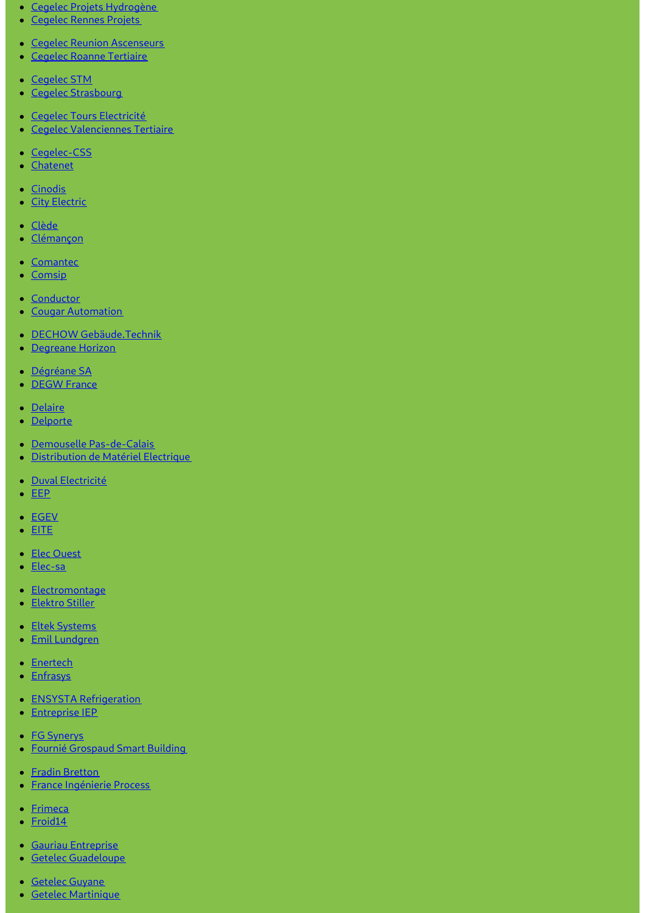## Cegelec Projets [Hydrogène](https://www.cegelec-projets-hydrogene.fr)

- [Cegelec](https://www.cegelec-rennes-projets.fr/) Rennes Projets
- **Cegelec Reunion [Ascenseurs](https://www.cegelec-reunion-ascenseurs.com)**
- **Cegelec Roanne [Tertiaire](https://www.cegelec-roanne-tertiaire.fr/)**
- [Cegelec](https://www.cegelec-stm.fr/) STM
- Cegelec [Strasbourg](http://www.cegelec-strasbourg.fr/)
- Cegelec Tours [Electricité](https://www.cegelec-tours-electricite.fr/)
- Cegelec [Valenciennes](http://www.cegelec-valenciennes-tertiaire.com/) Tertiaire
- [Cegelec-CSS](https://www.cegelec-css.com/)
- [Chatenet](https://www.chatenet-sas.fr)
- [Cinodis](https://www.cinodis.fr/)
- City [Electric](https://www.city-electric.lu)
- [Clède](https://www.clede.fr)
- [Clémançon](https://www.clemancon.fr)
- [Comantec](https://www.comantec.be/)
- [Comsip](http://www.comsip.fr/en/)
- [Conductor](https://www.conductor.as/)
- Cougar [Automation](https://www.cougar-automation.com/)
- DECHOW [Gebäude.Technik](https://www.dechow-dl-gmbh.de/)
- [Degreane](http://www.degreane-horizon.fr) Horizon
- [Dégréane](https://www.degreane.fr/) SA
- **[DEGW](https://www.degwfrance.com/) France**
- [Delaire](https://www.sas-delaire.fr/)
- [Delporte](https://www.delporte.fr/)
- Demouselle [Pas-de-Calais](https://www.demouselle-pas-de-calais.fr)
- [Distribution](https://www.dme-energies.com) de Matériel Electrique
- · Duval [Electricité](https://duval-electricite.fr/)
- [EEP](https://www.eep.fr)
- [EGEV](https://www.egev.fr/)
- $\bullet$  [EITE](https://www.eite-entreprises.fr/)
- Elec [Ouest](http://www.elec-ouest.fr)
- [Elec-sa](https://www.elec-sa.fr/)
- [Electromontage](https://www.electromontage.fr/)
- [Elektro](https://www.elektro-stiller.de) Stiller
- **Eltek [Systems](https://www.eltek-systems.com/)**
- Emil [Lundgren](https://www.emillundgren.se/)
- **•** [Enertech](https://www.enertech-eut.de/)
- [Enfrasys](https://www.enfrasys.fr/)
- **ENSYSTA [Refrigeration](http://www.ensysta.be/nl/)**
- [Entreprise](http://www.i-e-p.fr) IEP
- **FG [Synerys](https://www.fgsynerys.fr)**
- Fournié [Grospaud](https://www.fgtlse.fr) Smart Building
- Fradin [Bretton](http://www.fradin-bretton.fr/)
- **France [Ingénierie](https://www.france-ingenierie-process.com/) Process**
- [Frimeca](https://www.frimeca.com/)
- [Froid14](http://www.froid14.com/)
- **Gauriau [Entreprise](http://www.gauriau-entreprise.fr/)**
- **Getelec [Guadeloupe](http://www.getelec-guadeloupe.fr/)**
- [Getelec](https://www.getelec-guyane.fr/) Guyane
- Getelec [Martinique](https://www.getelec-martinique.fr)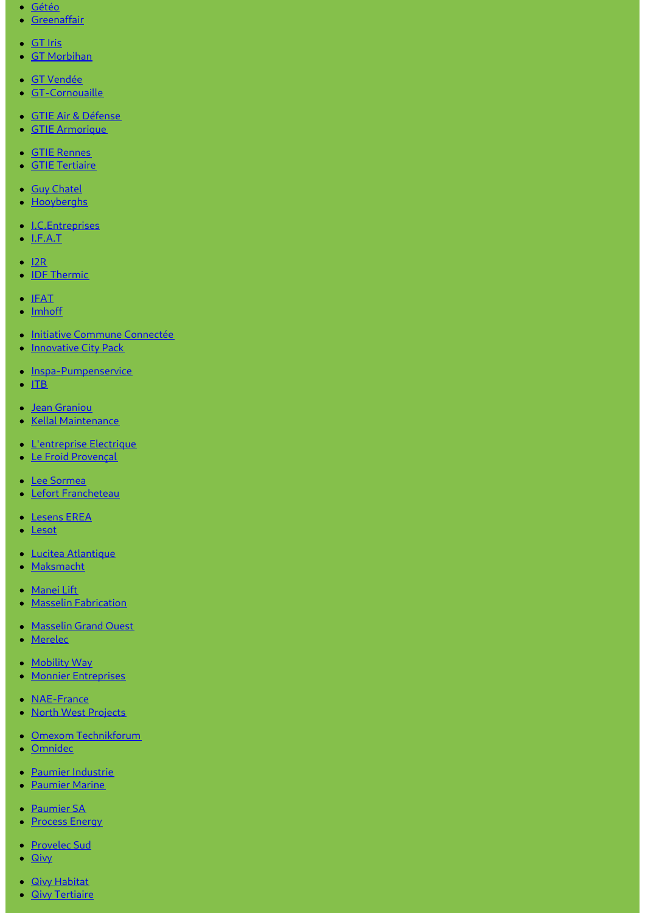- [Gétéo](https://www.geteo.fr/)
- [Greenaffair](https://www.greenaffair.com)
- [GT](http://www.gt-iris.fr/) Iris
- GT [Morbihan](https://www.gt-morbihan.com)
- GT [Vendée](http://www.gt-vendee.fr/)
- [GT-Cornouaille](https://www.gt-cornouaille.fr/)
- GTIE Air & [Défense](https://www.gtie-airetdefense.fr)
- GTIE [Armorique](https://www.gtie-armorique.com)
- GTIE [Rennes](http://www.gtie-rennes.com/)
- GTIE [Tertiaire](https://www.gtie-tertiaire.com/)
- Guy [Chatel](http://guy-chatel.fr/)
- [Hooyberghs](https://www.hooyberghs.be/)
- [I.C.Entreprises](http://www.ic-entreprises.com/)
- $\bullet$  [I.F.A.T](https://www.ifat.fr)
- $\cdot$  [I2R](http://www.i2r-ingenierie.com/)
- **IDF [Thermic](http://www.idf-thermic.com/)**
- $\bullet$  [IFAT](https://www.ifat.fr/)
- [Imhoff](https://www.imhoff.fr)
- **Initiative Commune [Connectée](https://www.initiativecommuneconnectee.fr)**
- [Innovative](https://www.icpack.fr) City Pack
- [Inspa-Pumpenservice](https://www.inspa-pumpenservice.de/)
- $\cdot$  [ITB](https:)
- Jean [Graniou](https://www.jeangraniou.fr/)
- Kellal [Maintenance](https://www.kellal-maintenance.fr/)
- **·** [L'entreprise](http://www.lentreprise-electrique.fr/) Electrique
- **Le Froid [Provençal](https://www.lefroidprovencal.fr)**
- Lee [Sormea](https://www.lee-sormea.com)
- Lefort [Francheteau](https://www.lefortfrancheteau.com/)
- [Lesens](https://www.lesens-erea.fr/) EREA
- [Lesot](https://www.lesot.fr)
- Lucitea [Atlantique](http://www.lucitea-atlantique.fr)
- [Maksmacht](https://www.maksmacht.de/)
- [Manei](https://www.manei-lift.fr) Lift
- **Masselin [Fabrication](http://masselin-fabrication.fr/)**
- [Masselin](http://www.masselin-grand-ouest.fr/) Grand Ouest
- [Merelec](https://www.merelec.fr)
- [Mobility](https://www.mobility-way.com) Way
- Monnier [Entreprises](http://www.monnier-energies.com/)
- **[NAE-France](https://www.nae-france.com/)**
- North West [Projects](https://www.northwestprojects.co.uk/)
- Omexom [Technikforum](https://www.omexom-technikforum.de)
- [Omnidec](https://www.omnidec.com/)
- Paumier [Industrie](https://www.paumier-industrie.fr)
- [Paumier](https://www.paumier-marine.fr) Marine
- [Paumier](https://www.paumier-sa.fr) SA
- [Process](http://www.process-energy.fr) Energy
- [Provelec](https://www.provelec-sud.fr) Sud
- $\bullet$  [Qivy](http://www.qivy.fr/fr/)
- **Qivy [Habitat](https://www.qivy-habitat.fr)**
- **Qivy [Tertiaire](https://www.qivy-tertiaire.fr)**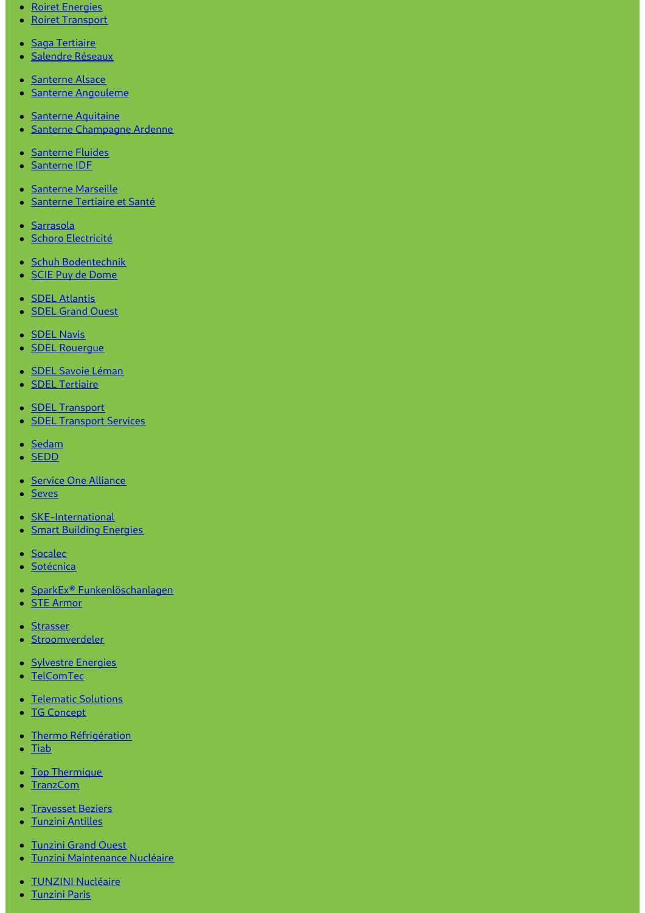- Roiret [Energies](https://www.roiret-energies.com/)
- Roiret [Transport](http://www.roiret-transport.fr/)
- Saga [Tertiaire](http://www.saga-tertiaire.fr/)
- · [Salendre](https://www.salendre.com/) Réseaux
- [Santerne](https://www.santerne-alsace.fr) Alsace
- **Santerne [Angouleme](http://www.santerne-angouleme.fr/)**
- Santerne [Aquitaine](https://www.santerne-aquitaine.fr/)
- **Santerne [Champagne](https://www.santerne-champagne-ardenne.fr) Ardenne**
- [Santerne](https://www.santerne-fluides.fr) Fluides
- [Santerne](https://www.santerne-idf.fr) IDF
- [Santerne](https://www.santerne-marseille.com/) Marseille
- **[Santerne](https://www.santerne-tertiaire-sante.fr) Tertiaire et Santé**
- · [Sarrasola](https://www.sarrasola.com/)
- · Schoro [Electricité](http://www.schoro.fr/site/presentation.htm)
- Schuh [Bodentechnik](https://www.schuh-bodentechnik.de)
- SCIE Puy de [Dome](http://www.scie-pdd.com/)
- **SDEL [Atlantis](https://www.sdel-atlantis.fr/)**
- **SDEL [Grand](http://www.sdel-grand-ouest.fr/) Ouest**
- **[SDEL](https://www.sdel-navis.fr) Navis**
- **SDEL [Rouergue](https://www.sdel-rouergue.fr/)**
- · SDEL Savoie [Léman](https://www.sdel-savoie-leman.fr/)
- **SDEL [Tertiaire](https://www.sdel-tertiaire.fr)**
- **SDEL [Transport](https://www.sdel-transport.fr)**
- **SDEL [Transport](https://www.sdel-transport-services.fr/) Services**
- [Sedam](https://www.sedam-champagne.com)
- **[SEDD](https://www.sedd.fr)**  $\bullet$
- Service One [Alliance](http://www.serviceonealliance.com/)
- [Seves](https://www.seves.fr)
- [SKE-International](https://www.ske-international.com/)
- **Smart Building [Energies](http://www.smart-building-energies.com/fr/)**
- [Socalec](http://www.socalec.fr/)
- · [Sotécnica](https://www.sotecnica.pt/pt)
- SparkEx® [Funkenlöschanlagen](https://www.funken-loeschanlage.de/)
- **STE [Armor](https://www.ste-armor.fr/fr/)**
- [Strasser](https://www.strasser.fr/)
- **[Stroomverdeler](https://www.stroomverdeler.be/)**
- [Sylvestre](http://www.s-energies.fr/) Energies
- [TelComTec](https://telcomtec.fr)
- [Telematic](https://www.telematicsolutions.it/) Solutions
- **TG [Concept](http://www.tgconcept.com)**
- **Thermo [Réfrigération](http://www.thermorefrigeration.com/en/thermo-refrigeration-home-page/)**
- **[Tiab](https://www.tiab.ro/)**  $\bullet$
- Top [Thermique](https://www.top-thermique.fr)
- [TranzCom](https://www.tranzcom.com)
- [Travesset](https://www.travesset-beziers.fr) Beziers
- Tunzini [Antilles](https://www.tunzini-antilles.fr)
- [Tunzini](http://www.tunzini-grand-ouest.fr/) Grand Ouest
- Tunzini [Maintenance](http://www.tunzinimn.fr) Nucléaire
- · TUNZINI [Nucléaire](https://www.tunzininucleaire.fr/)
- [Tunzini](http://www.tunzini-paris.fr/) Paris